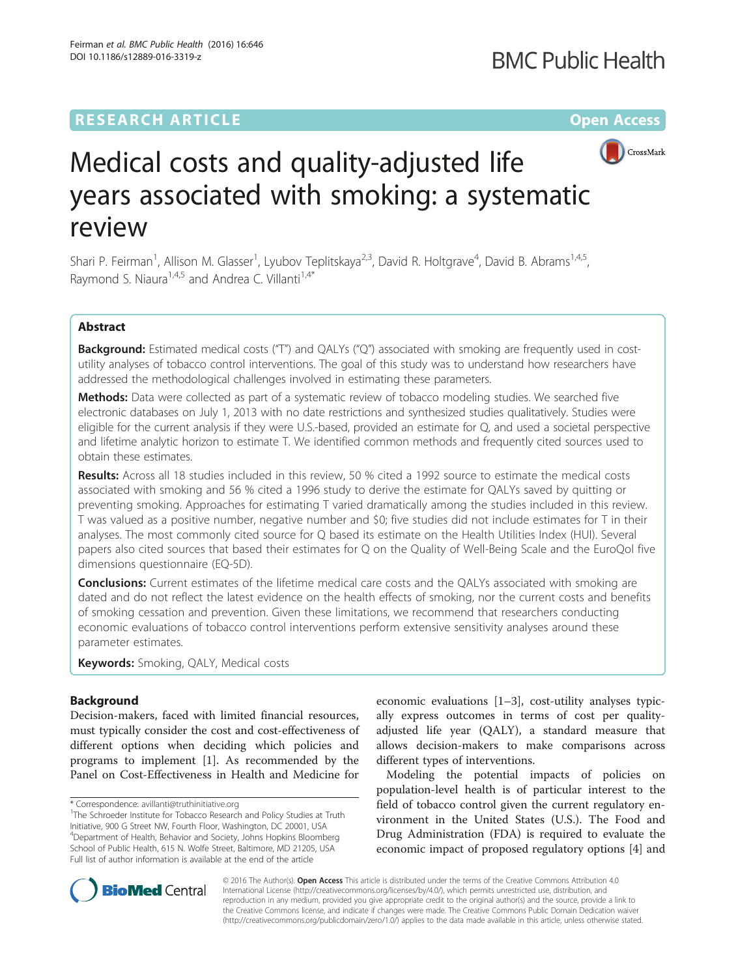## **RESEARCH ARTICLE External Structure Community Community Community Community Community Community Community Community**

Feirman et al. BMC Public Health (2016) 16:646

DOI 10.1186/s12889-016-3319-z



# Medical costs and quality-adjusted life years associated with smoking: a systematic review

Shari P. Feirman<sup>1</sup>, Allison M. Glasser<sup>1</sup>, Lyubov Teplitskaya<sup>2,3</sup>, David R. Holtgrave<sup>4</sup>, David B. Abrams<sup>1,4,5</sup>, Raymond S. Niaura<sup>1,4,5</sup> and Andrea C. Villanti<sup>1,4\*</sup>

## Abstract

Background: Estimated medical costs ("T") and QALYs ("Q") associated with smoking are frequently used in costutility analyses of tobacco control interventions. The goal of this study was to understand how researchers have addressed the methodological challenges involved in estimating these parameters.

Methods: Data were collected as part of a systematic review of tobacco modeling studies. We searched five electronic databases on July 1, 2013 with no date restrictions and synthesized studies qualitatively. Studies were eligible for the current analysis if they were U.S.-based, provided an estimate for Q, and used a societal perspective and lifetime analytic horizon to estimate T. We identified common methods and frequently cited sources used to obtain these estimates.

Results: Across all 18 studies included in this review, 50 % cited a 1992 source to estimate the medical costs associated with smoking and 56 % cited a 1996 study to derive the estimate for QALYs saved by quitting or preventing smoking. Approaches for estimating T varied dramatically among the studies included in this review. T was valued as a positive number, negative number and \$0; five studies did not include estimates for T in their analyses. The most commonly cited source for Q based its estimate on the Health Utilities Index (HUI). Several papers also cited sources that based their estimates for Q on the Quality of Well-Being Scale and the EuroQol five dimensions questionnaire (EQ-5D).

**Conclusions:** Current estimates of the lifetime medical care costs and the QALYs associated with smoking are dated and do not reflect the latest evidence on the health effects of smoking, nor the current costs and benefits of smoking cessation and prevention. Given these limitations, we recommend that researchers conducting economic evaluations of tobacco control interventions perform extensive sensitivity analyses around these parameter estimates.

Keywords: Smoking, QALY, Medical costs

## Background

Decision-makers, faced with limited financial resources, must typically consider the cost and cost-effectiveness of different options when deciding which policies and programs to implement [\[1\]](#page-8-0). As recommended by the Panel on Cost-Effectiveness in Health and Medicine for

economic evaluations [\[1](#page-8-0)–[3\]](#page-8-0), cost-utility analyses typically express outcomes in terms of cost per qualityadjusted life year (QALY), a standard measure that allows decision-makers to make comparisons across different types of interventions.

Modeling the potential impacts of policies on population-level health is of particular interest to the field of tobacco control given the current regulatory environment in the United States (U.S.). The Food and Drug Administration (FDA) is required to evaluate the economic impact of proposed regulatory options [\[4](#page-8-0)] and



© 2016 The Author(s). Open Access This article is distributed under the terms of the Creative Commons Attribution 4.0 International License [\(http://creativecommons.org/licenses/by/4.0/](http://creativecommons.org/licenses/by/4.0/)), which permits unrestricted use, distribution, and reproduction in any medium, provided you give appropriate credit to the original author(s) and the source, provide a link to the Creative Commons license, and indicate if changes were made. The Creative Commons Public Domain Dedication waiver [\(http://creativecommons.org/publicdomain/zero/1.0/](http://creativecommons.org/publicdomain/zero/1.0/)) applies to the data made available in this article, unless otherwise stated.

<sup>\*</sup> Correspondence: [avillanti@truthinitiative.org](mailto:avillanti@truthinitiative.org) <sup>1</sup>

<sup>&</sup>lt;sup>1</sup>The Schroeder Institute for Tobacco Research and Policy Studies at Truth Initiative, 900 G Street NW, Fourth Floor, Washington, DC 20001, USA 4 Department of Health, Behavior and Society, Johns Hopkins Bloomberg School of Public Health, 615 N. Wolfe Street, Baltimore, MD 21205, USA Full list of author information is available at the end of the article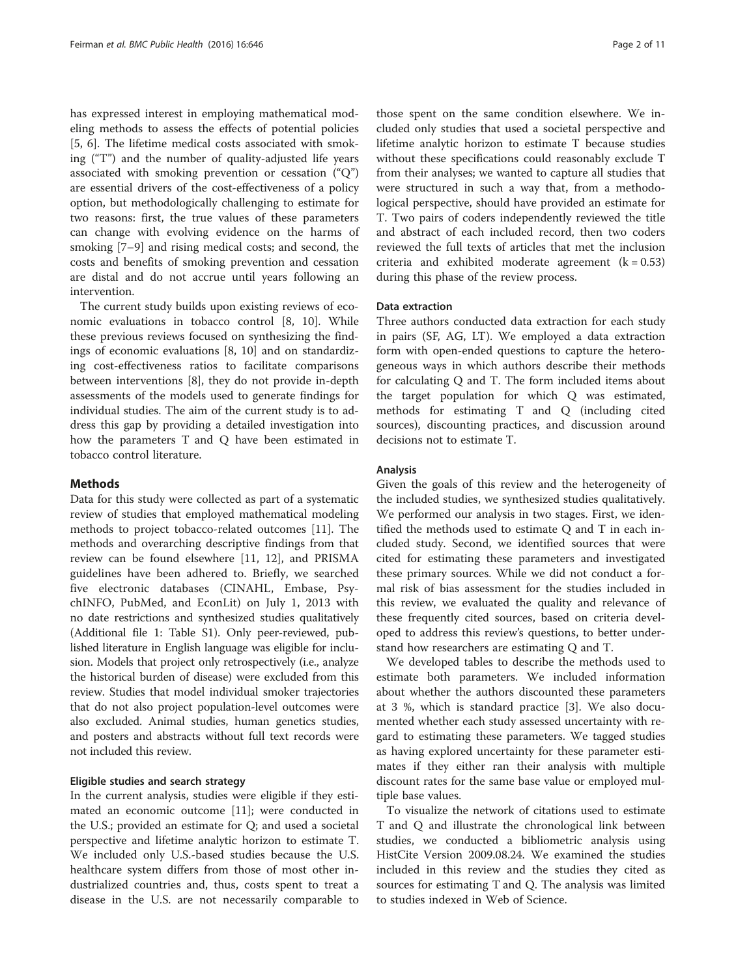has expressed interest in employing mathematical modeling methods to assess the effects of potential policies [[5, 6\]](#page-8-0). The lifetime medical costs associated with smoking ("T") and the number of quality-adjusted life years associated with smoking prevention or cessation ("Q") are essential drivers of the cost-effectiveness of a policy option, but methodologically challenging to estimate for two reasons: first, the true values of these parameters can change with evolving evidence on the harms of smoking [[7](#page-8-0)–[9\]](#page-8-0) and rising medical costs; and second, the costs and benefits of smoking prevention and cessation are distal and do not accrue until years following an intervention.

The current study builds upon existing reviews of economic evaluations in tobacco control [\[8](#page-8-0), [10](#page-8-0)]. While these previous reviews focused on synthesizing the findings of economic evaluations [\[8](#page-8-0), [10\]](#page-8-0) and on standardizing cost-effectiveness ratios to facilitate comparisons between interventions [[8\]](#page-8-0), they do not provide in-depth assessments of the models used to generate findings for individual studies. The aim of the current study is to address this gap by providing a detailed investigation into how the parameters T and Q have been estimated in tobacco control literature.

## **Methods**

Data for this study were collected as part of a systematic review of studies that employed mathematical modeling methods to project tobacco-related outcomes [\[11\]](#page-8-0). The methods and overarching descriptive findings from that review can be found elsewhere [[11, 12](#page-8-0)], and PRISMA guidelines have been adhered to. Briefly, we searched five electronic databases (CINAHL, Embase, PsychINFO, PubMed, and EconLit) on July 1, 2013 with no date restrictions and synthesized studies qualitatively (Additional file [1](#page-8-0): Table S1). Only peer-reviewed, published literature in English language was eligible for inclusion. Models that project only retrospectively (i.e., analyze the historical burden of disease) were excluded from this review. Studies that model individual smoker trajectories that do not also project population-level outcomes were also excluded. Animal studies, human genetics studies, and posters and abstracts without full text records were not included this review.

#### Eligible studies and search strategy

In the current analysis, studies were eligible if they estimated an economic outcome [\[11](#page-8-0)]; were conducted in the U.S.; provided an estimate for Q; and used a societal perspective and lifetime analytic horizon to estimate T. We included only U.S.-based studies because the U.S. healthcare system differs from those of most other industrialized countries and, thus, costs spent to treat a disease in the U.S. are not necessarily comparable to

those spent on the same condition elsewhere. We included only studies that used a societal perspective and lifetime analytic horizon to estimate T because studies without these specifications could reasonably exclude T from their analyses; we wanted to capture all studies that were structured in such a way that, from a methodological perspective, should have provided an estimate for T. Two pairs of coders independently reviewed the title and abstract of each included record, then two coders reviewed the full texts of articles that met the inclusion criteria and exhibited moderate agreement  $(k = 0.53)$ during this phase of the review process.

#### Data extraction

Three authors conducted data extraction for each study in pairs (SF, AG, LT). We employed a data extraction form with open-ended questions to capture the heterogeneous ways in which authors describe their methods for calculating Q and T. The form included items about the target population for which Q was estimated, methods for estimating T and Q (including cited sources), discounting practices, and discussion around decisions not to estimate T.

#### Analysis

Given the goals of this review and the heterogeneity of the included studies, we synthesized studies qualitatively. We performed our analysis in two stages. First, we identified the methods used to estimate Q and T in each included study. Second, we identified sources that were cited for estimating these parameters and investigated these primary sources. While we did not conduct a formal risk of bias assessment for the studies included in this review, we evaluated the quality and relevance of these frequently cited sources, based on criteria developed to address this review's questions, to better understand how researchers are estimating Q and T.

We developed tables to describe the methods used to estimate both parameters. We included information about whether the authors discounted these parameters at 3 %, which is standard practice [\[3](#page-8-0)]. We also documented whether each study assessed uncertainty with regard to estimating these parameters. We tagged studies as having explored uncertainty for these parameter estimates if they either ran their analysis with multiple discount rates for the same base value or employed multiple base values.

To visualize the network of citations used to estimate T and Q and illustrate the chronological link between studies, we conducted a bibliometric analysis using HistCite Version 2009.08.24. We examined the studies included in this review and the studies they cited as sources for estimating T and Q. The analysis was limited to studies indexed in Web of Science.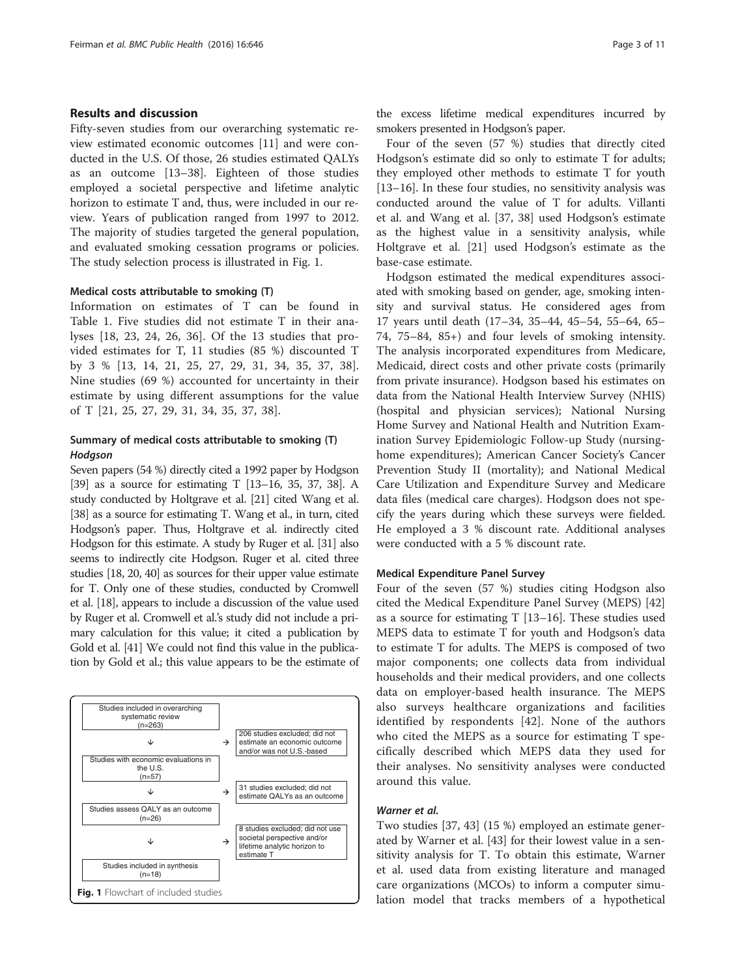## Results and discussion

Fifty-seven studies from our overarching systematic review estimated economic outcomes [[11](#page-8-0)] and were conducted in the U.S. Of those, 26 studies estimated QALYs as an outcome [\[13](#page-8-0)–[38\]](#page-9-0). Eighteen of those studies employed a societal perspective and lifetime analytic horizon to estimate T and, thus, were included in our review. Years of publication ranged from 1997 to 2012. The majority of studies targeted the general population, and evaluated smoking cessation programs or policies. The study selection process is illustrated in Fig. 1.

#### Medical costs attributable to smoking (T)

Information on estimates of T can be found in Table [1.](#page-3-0) Five studies did not estimate T in their analyses [[18, 23, 24](#page-9-0), [26](#page-9-0), [36\]](#page-9-0). Of the 13 studies that provided estimates for T, 11 studies (85 %) discounted T by 3 % [[13, 14,](#page-8-0) [21](#page-9-0), [25](#page-9-0), [27, 29, 31](#page-9-0), [34, 35, 37](#page-9-0), [38](#page-9-0)]. Nine studies (69 %) accounted for uncertainty in their estimate by using different assumptions for the value of T [[21, 25, 27, 29](#page-9-0), [31](#page-9-0), [34](#page-9-0), [35, 37, 38\]](#page-9-0).

## Summary of medical costs attributable to smoking (T) Hodgson

Seven papers (54 %) directly cited a 1992 paper by Hodgson [[39](#page-9-0)] as a source for estimating T [\[13](#page-8-0)–[16, 35](#page-9-0), [37](#page-9-0), [38](#page-9-0)]. A study conducted by Holtgrave et al. [[21](#page-9-0)] cited Wang et al. [[38](#page-9-0)] as a source for estimating T. Wang et al., in turn, cited Hodgson's paper. Thus, Holtgrave et al. indirectly cited Hodgson for this estimate. A study by Ruger et al. [\[31](#page-9-0)] also seems to indirectly cite Hodgson. Ruger et al. cited three studies [\[18, 20, 40\]](#page-9-0) as sources for their upper value estimate for T. Only one of these studies, conducted by Cromwell et al. [\[18\]](#page-9-0), appears to include a discussion of the value used by Ruger et al. Cromwell et al.'s study did not include a primary calculation for this value; it cited a publication by Gold et al. [\[41\]](#page-9-0) We could not find this value in the publication by Gold et al.; this value appears to be the estimate of



the excess lifetime medical expenditures incurred by smokers presented in Hodgson's paper.

Four of the seven (57 %) studies that directly cited Hodgson's estimate did so only to estimate T for adults; they employed other methods to estimate T for youth [[13](#page-8-0)–[16](#page-9-0)]. In these four studies, no sensitivity analysis was conducted around the value of T for adults. Villanti et al. and Wang et al. [[37](#page-9-0), [38](#page-9-0)] used Hodgson's estimate as the highest value in a sensitivity analysis, while Holtgrave et al. [\[21](#page-9-0)] used Hodgson's estimate as the base-case estimate.

Hodgson estimated the medical expenditures associated with smoking based on gender, age, smoking intensity and survival status. He considered ages from 17 years until death (17–34, 35–44, 45–54, 55–64, 65– 74, 75–84, 85+) and four levels of smoking intensity. The analysis incorporated expenditures from Medicare, Medicaid, direct costs and other private costs (primarily from private insurance). Hodgson based his estimates on data from the National Health Interview Survey (NHIS) (hospital and physician services); National Nursing Home Survey and National Health and Nutrition Examination Survey Epidemiologic Follow-up Study (nursinghome expenditures); American Cancer Society's Cancer Prevention Study II (mortality); and National Medical Care Utilization and Expenditure Survey and Medicare data files (medical care charges). Hodgson does not specify the years during which these surveys were fielded. He employed a 3 % discount rate. Additional analyses were conducted with a 5 % discount rate.

## Medical Expenditure Panel Survey

Four of the seven (57 %) studies citing Hodgson also cited the Medical Expenditure Panel Survey (MEPS) [[42](#page-9-0)] as a source for estimating  $T$  [[13](#page-8-0)–[16](#page-9-0)]. These studies used MEPS data to estimate T for youth and Hodgson's data to estimate T for adults. The MEPS is composed of two major components; one collects data from individual households and their medical providers, and one collects data on employer-based health insurance. The MEPS also surveys healthcare organizations and facilities identified by respondents [[42\]](#page-9-0). None of the authors who cited the MEPS as a source for estimating T specifically described which MEPS data they used for their analyses. No sensitivity analyses were conducted around this value.

#### Warner et al.

Two studies [[37](#page-9-0), [43](#page-9-0)] (15 %) employed an estimate generated by Warner et al. [\[43](#page-9-0)] for their lowest value in a sensitivity analysis for T. To obtain this estimate, Warner et al. used data from existing literature and managed care organizations (MCOs) to inform a computer simulation model that tracks members of a hypothetical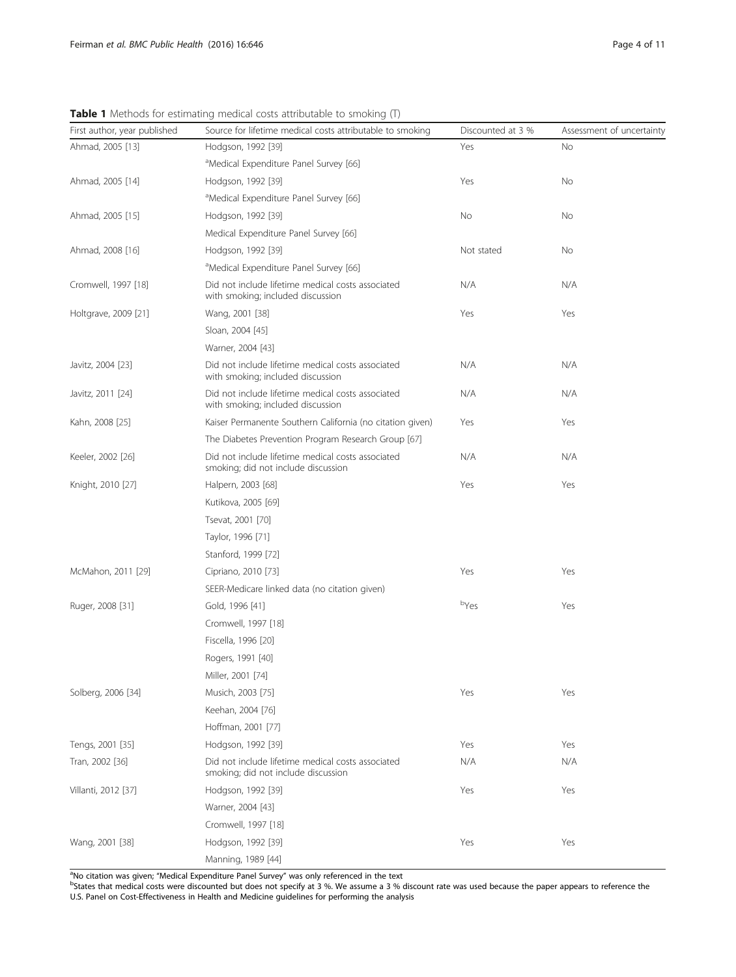| First author, year published | Source for lifetime medical costs attributable to smoking                                            | Discounted at 3 % | Assessment of uncertainty |
|------------------------------|------------------------------------------------------------------------------------------------------|-------------------|---------------------------|
| Ahmad, 2005 [13]             | Hodgson, 1992 [39]                                                                                   | Yes               | No                        |
|                              | <sup>a</sup> Medical Expenditure Panel Survey [66]                                                   |                   |                           |
| Ahmad, 2005 [14]             | Hodgson, 1992 [39]                                                                                   | Yes               | No                        |
|                              | <sup>a</sup> Medical Expenditure Panel Survey [66]                                                   |                   |                           |
| Ahmad, 2005 [15]             | Hodgson, 1992 [39]                                                                                   | No                | No                        |
|                              | Medical Expenditure Panel Survey [66]                                                                |                   |                           |
| Ahmad, 2008 [16]             | Hodgson, 1992 [39]                                                                                   | Not stated        | No                        |
|                              | <sup>a</sup> Medical Expenditure Panel Survey [66]                                                   |                   |                           |
| Cromwell, 1997 [18]          | Did not include lifetime medical costs associated<br>N/A<br>N/A<br>with smoking; included discussion |                   |                           |
| Holtgrave, 2009 [21]         | Wang, 2001 [38]                                                                                      | Yes               | Yes                       |
|                              | Sloan, 2004 [45]                                                                                     |                   |                           |
|                              | Warner, 2004 [43]                                                                                    |                   |                           |
| Javitz, 2004 [23]            | Did not include lifetime medical costs associated<br>with smoking; included discussion               | N/A<br>N/A        |                           |
| Javitz, 2011 [24]            | Did not include lifetime medical costs associated<br>with smoking; included discussion               | N/A<br>N/A        |                           |
| Kahn, 2008 [25]              | Kaiser Permanente Southern California (no citation given)                                            | Yes               | Yes                       |
|                              | The Diabetes Prevention Program Research Group [67]                                                  |                   |                           |
| Keeler, 2002 [26]            | Did not include lifetime medical costs associated<br>smoking; did not include discussion             | N/A               | N/A                       |
| Knight, 2010 [27]            | Halpern, 2003 [68]                                                                                   | Yes               | Yes                       |
|                              | Kutikova, 2005 [69]                                                                                  |                   |                           |
|                              | Tsevat, 2001 [70]                                                                                    |                   |                           |
|                              | Taylor, 1996 [71]                                                                                    |                   |                           |
|                              | Stanford, 1999 [72]                                                                                  |                   |                           |
| McMahon, 2011 [29]           | Cipriano, 2010 [73]                                                                                  | Yes               | Yes                       |
|                              | SEER-Medicare linked data (no citation given)                                                        |                   |                           |
| Ruger, 2008 [31]             | Gold, 1996 [41]                                                                                      | byes              | Yes                       |
|                              | Cromwell, 1997 [18]                                                                                  |                   |                           |
|                              | Fiscella, 1996 [20]                                                                                  |                   |                           |
|                              | Rogers, 1991 [40]                                                                                    |                   |                           |
|                              | Miller, 2001 [74]                                                                                    |                   |                           |
| Solberg, 2006 [34]           | Musich, 2003 [75]                                                                                    | Yes               | Yes                       |
|                              | Keehan, 2004 [76]                                                                                    |                   |                           |
|                              | Hoffman, 2001 [77]                                                                                   |                   |                           |
| Tengs, 2001 [35]             | Hodgson, 1992 [39]                                                                                   | Yes               | Yes                       |
| Tran, 2002 [36]              | Did not include lifetime medical costs associated<br>smoking; did not include discussion             | N/A               | N/A                       |
| Villanti, 2012 [37]          | Hodgson, 1992 [39]                                                                                   | Yes               | Yes                       |
|                              | Warner, 2004 [43]                                                                                    |                   |                           |
|                              | Cromwell, 1997 [18]                                                                                  |                   |                           |
| Wang, 2001 [38]              | Hodgson, 1992 [39]                                                                                   | Yes               | Yes                       |
|                              | Manning, 1989 [44]                                                                                   |                   |                           |
|                              |                                                                                                      |                   |                           |

<span id="page-3-0"></span>Table 1 Methods for estimating medical costs attributable to smoking (T)

<sup>a</sup>No citation was given; "Medical Expenditure Panel Survey" was only referenced in the text<br><sup>b</sup>States that medical costs were discounted but does not specify at 3 %. We assume a 3 %

States that medical costs were discounted but does not specify at 3 %. We assume a 3 % discount rate was used because the paper appears to reference the U.S. Panel on Cost-Effectiveness in Health and Medicine guidelines for performing the analysis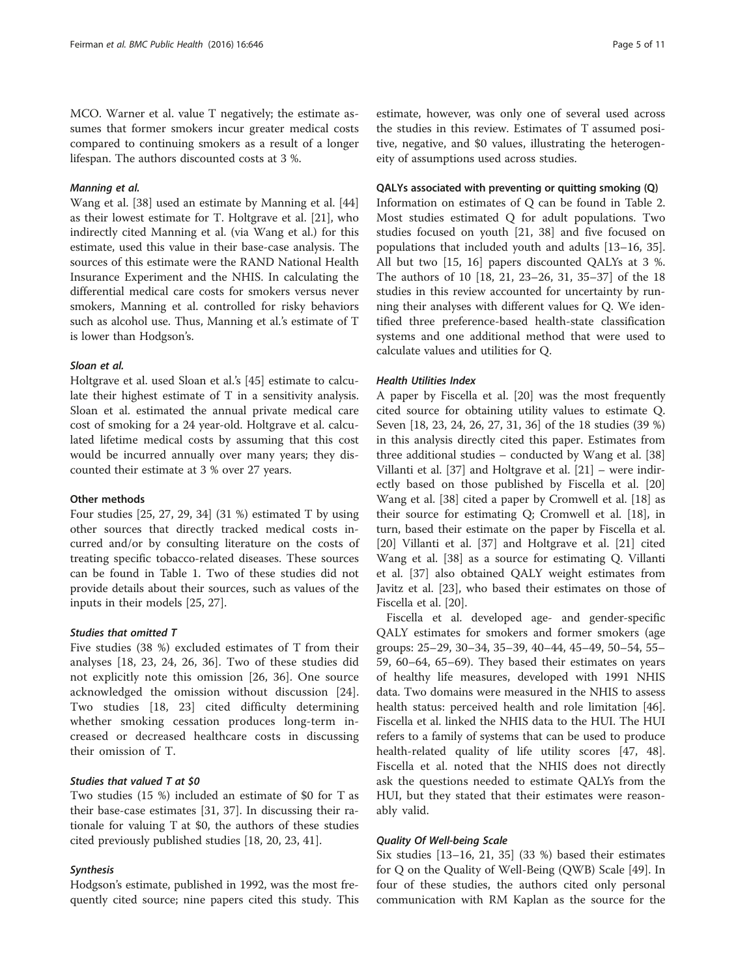MCO. Warner et al. value T negatively; the estimate assumes that former smokers incur greater medical costs compared to continuing smokers as a result of a longer lifespan. The authors discounted costs at 3 %.

#### Manning et al.

Wang et al. [\[38](#page-9-0)] used an estimate by Manning et al. [[44](#page-9-0)] as their lowest estimate for T. Holtgrave et al. [[21\]](#page-9-0), who indirectly cited Manning et al. (via Wang et al.) for this estimate, used this value in their base-case analysis. The sources of this estimate were the RAND National Health Insurance Experiment and the NHIS. In calculating the differential medical care costs for smokers versus never smokers, Manning et al. controlled for risky behaviors such as alcohol use. Thus, Manning et al.'s estimate of T is lower than Hodgson's.

## Sloan et al.

Holtgrave et al. used Sloan et al.'s [\[45](#page-9-0)] estimate to calculate their highest estimate of T in a sensitivity analysis. Sloan et al. estimated the annual private medical care cost of smoking for a 24 year-old. Holtgrave et al. calculated lifetime medical costs by assuming that this cost would be incurred annually over many years; they discounted their estimate at 3 % over 27 years.

#### Other methods

Four studies  $[25, 27, 29, 34]$  $[25, 27, 29, 34]$  $[25, 27, 29, 34]$  $[25, 27, 29, 34]$  $[25, 27, 29, 34]$  $[25, 27, 29, 34]$   $(31%)$  estimated T by using other sources that directly tracked medical costs incurred and/or by consulting literature on the costs of treating specific tobacco-related diseases. These sources can be found in Table [1](#page-3-0). Two of these studies did not provide details about their sources, such as values of the inputs in their models [[25](#page-9-0), [27](#page-9-0)].

## Studies that omitted T

Five studies (38 %) excluded estimates of T from their analyses [[18](#page-9-0), [23](#page-9-0), [24, 26](#page-9-0), [36\]](#page-9-0). Two of these studies did not explicitly note this omission [[26, 36](#page-9-0)]. One source acknowledged the omission without discussion [\[24](#page-9-0)]. Two studies [\[18](#page-9-0), [23\]](#page-9-0) cited difficulty determining whether smoking cessation produces long-term increased or decreased healthcare costs in discussing their omission of T.

## Studies that valued T at \$0

Two studies (15 %) included an estimate of \$0 for T as their base-case estimates [\[31](#page-9-0), [37\]](#page-9-0). In discussing their rationale for valuing T at \$0, the authors of these studies cited previously published studies [[18, 20](#page-9-0), [23](#page-9-0), [41](#page-9-0)].

## Synthesis

Hodgson's estimate, published in 1992, was the most frequently cited source; nine papers cited this study. This estimate, however, was only one of several used across the studies in this review. Estimates of T assumed positive, negative, and \$0 values, illustrating the heterogeneity of assumptions used across studies.

### QALYs associated with preventing or quitting smoking (Q)

Information on estimates of Q can be found in Table [2](#page-5-0). Most studies estimated Q for adult populations. Two studies focused on youth [[21](#page-9-0), [38\]](#page-9-0) and five focused on populations that included youth and adults [\[13](#page-8-0)–[16, 35](#page-9-0)]. All but two [[15, 16\]](#page-9-0) papers discounted QALYs at 3 %. The authors of 10 [\[18](#page-9-0), [21, 23](#page-9-0)–[26, 31](#page-9-0), [35](#page-9-0)–[37\]](#page-9-0) of the 18 studies in this review accounted for uncertainty by running their analyses with different values for Q. We identified three preference-based health-state classification systems and one additional method that were used to calculate values and utilities for Q.

#### Health Utilities Index

A paper by Fiscella et al. [[20\]](#page-9-0) was the most frequently cited source for obtaining utility values to estimate Q. Seven [[18, 23, 24, 26, 27, 31, 36\]](#page-9-0) of the 18 studies (39 %) in this analysis directly cited this paper. Estimates from three additional studies – conducted by Wang et al. [[38](#page-9-0)] Villanti et al. [\[37\]](#page-9-0) and Holtgrave et al. [[21\]](#page-9-0) – were indirectly based on those published by Fiscella et al. [[20](#page-9-0)] Wang et al. [[38\]](#page-9-0) cited a paper by Cromwell et al. [\[18\]](#page-9-0) as their source for estimating Q; Cromwell et al. [[18\]](#page-9-0), in turn, based their estimate on the paper by Fiscella et al. [[20\]](#page-9-0) Villanti et al. [[37](#page-9-0)] and Holtgrave et al. [\[21\]](#page-9-0) cited Wang et al. [[38\]](#page-9-0) as a source for estimating Q. Villanti et al. [\[37](#page-9-0)] also obtained QALY weight estimates from Javitz et al. [\[23](#page-9-0)], who based their estimates on those of Fiscella et al. [\[20\]](#page-9-0).

Fiscella et al. developed age- and gender-specific QALY estimates for smokers and former smokers (age groups: 25–29, 30–34, 35–39, 40–44, 45–49, 50–54, 55– 59, 60–64, 65–69). They based their estimates on years of healthy life measures, developed with 1991 NHIS data. Two domains were measured in the NHIS to assess health status: perceived health and role limitation [\[46](#page-9-0)]. Fiscella et al. linked the NHIS data to the HUI. The HUI refers to a family of systems that can be used to produce health-related quality of life utility scores [\[47](#page-9-0), [48](#page-9-0)]. Fiscella et al. noted that the NHIS does not directly ask the questions needed to estimate QALYs from the HUI, but they stated that their estimates were reasonably valid.

## Quality Of Well-being Scale

Six studies [\[13](#page-8-0)–[16, 21, 35](#page-9-0)] (33 %) based their estimates for Q on the Quality of Well-Being (QWB) Scale [[49\]](#page-9-0). In four of these studies, the authors cited only personal communication with RM Kaplan as the source for the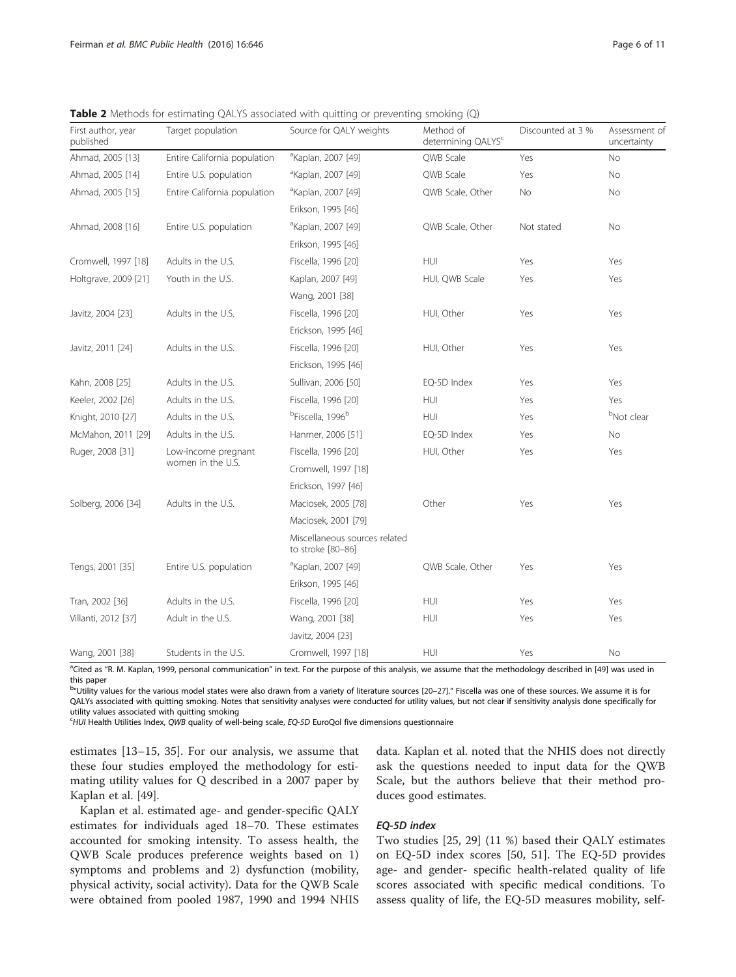| First author, year<br>published | Target population                        | Source for QALY weights                            | Method of<br>determining QALYSC | Discounted at 3 % | Assessment of<br>uncertainty |
|---------------------------------|------------------------------------------|----------------------------------------------------|---------------------------------|-------------------|------------------------------|
| Ahmad, 2005 [13]                | Entire California population             | <sup>a</sup> Kaplan, 2007 [49]                     | QWB Scale                       | Yes               | No                           |
| Ahmad, 2005 [14]                | Entire U.S. population                   | <sup>a</sup> Kaplan, 2007 [49]                     | QWB Scale                       | Yes               | <b>No</b>                    |
| Ahmad, 2005 [15]                | Entire California population             | <sup>a</sup> Kaplan, 2007 [49]                     | QWB Scale, Other                | No                | No                           |
|                                 |                                          | Erikson, 1995 [46]                                 |                                 |                   |                              |
| Ahmad, 2008 [16]                | Entire U.S. population                   | <sup>a</sup> Kaplan, 2007 [49]                     | QWB Scale, Other                | Not stated        | No                           |
|                                 |                                          | Erikson, 1995 [46]                                 |                                 |                   |                              |
| Cromwell, 1997 [18]             | Adults in the U.S.                       | Fiscella, 1996 [20]                                | <b>HUI</b>                      | Yes               | Yes                          |
| Holtgrave, 2009 [21]            | Youth in the U.S.                        | Kaplan, 2007 [49]                                  | HUI, QWB Scale                  | Yes               | Yes                          |
|                                 |                                          | Wang, 2001 [38]                                    |                                 |                   |                              |
| Javitz, 2004 [23]               | Adults in the U.S.                       | Fiscella, 1996 [20]                                | HUI, Other                      | Yes               | Yes                          |
|                                 |                                          | Erickson, 1995 [46]                                |                                 |                   |                              |
| Javitz, 2011 [24]               | Adults in the U.S.                       | Fiscella, 1996 [20]                                | HUI, Other                      | Yes               | Yes                          |
|                                 |                                          | Erickson, 1995 [46]                                |                                 |                   |                              |
| Kahn, 2008 [25]                 | Adults in the U.S.                       | Sullivan, 2006 [50]                                | EQ-5D Index                     | Yes               | Yes                          |
| Keeler, 2002 [26]               | Adults in the U.S.                       | Fiscella, 1996 [20]                                | HUI                             | Yes               | Yes                          |
| Knight, 2010 [27]               | Adults in the U.S.                       | <sup>b</sup> Fiscella, 1996 <sup>b</sup>           | HUI                             | Yes               | <sup>b</sup> Not clear       |
| McMahon, 2011 [29]              | Adults in the U.S.                       | Hanmer, 2006 [51]                                  | EQ-5D Index                     | Yes               | No                           |
| Ruger, 2008 [31]                | Low-income pregnant<br>women in the U.S. | Fiscella, 1996 [20]                                | HUI, Other                      | Yes               | Yes                          |
|                                 |                                          | Cromwell, 1997 [18]                                |                                 |                   |                              |
|                                 |                                          | Erickson, 1997 [46]                                |                                 |                   |                              |
| Solberg, 2006 [34]              | Adults in the U.S.                       | Maciosek, 2005 [78]                                | Other                           | Yes               | Yes                          |
|                                 |                                          | Maciosek, 2001 [79]                                |                                 |                   |                              |
|                                 |                                          | Miscellaneous sources related<br>to stroke [80-86] |                                 |                   |                              |
| Tengs, 2001 [35]                | Entire U.S. population                   | <sup>a</sup> Kaplan, 2007 [49]                     | QWB Scale, Other                | Yes               | Yes                          |
|                                 |                                          | Erikson, 1995 [46]                                 |                                 |                   |                              |
| Tran, 2002 [36]                 | Adults in the U.S.                       | Fiscella, 1996 [20]                                | HUI                             | Yes               | Yes                          |
| Villanti, 2012 [37]             | Adult in the U.S.                        | Wang, 2001 [38]                                    | HUI                             | Yes               | Yes                          |
|                                 |                                          | Javitz, 2004 [23]                                  |                                 |                   |                              |
| Wang, 2001 [38]                 | Students in the U.S.                     | Cromwell, 1997 [18]                                | HUI                             | Yes               | <b>No</b>                    |

<span id="page-5-0"></span>**Table 2** Methods for estimating QALYS associated with quitting or preventing smoking (Q)

<sup>a</sup>Cited as "R. M. Kaplan, 1999, personal communication" in text. For the purpose of this analysis, we assume that the methodology described in [\[49\]](#page-9-0) was used in this paper

b"Utility values for the various model states were also drawn from a variety of literature sources [\[20](#page-9-0)–[27](#page-9-0)]." Fiscella was one of these sources. We assume it is for QALYs associated with quitting smoking. Notes that sensitivity analyses were conducted for utility values, but not clear if sensitivity analysis done specifically for utility values associated with quitting smoking

HUI Health Utilities Index, QWB quality of well-being scale, EQ-5D EuroQol five dimensions questionnaire<sup>c</sup>

estimates [[13](#page-8-0)–[15](#page-9-0), [35\]](#page-9-0). For our analysis, we assume that these four studies employed the methodology for estimating utility values for Q described in a 2007 paper by Kaplan et al. [[49\]](#page-9-0).

Kaplan et al. estimated age- and gender-specific QALY estimates for individuals aged 18–70. These estimates accounted for smoking intensity. To assess health, the QWB Scale produces preference weights based on 1) symptoms and problems and 2) dysfunction (mobility, physical activity, social activity). Data for the QWB Scale were obtained from pooled 1987, 1990 and 1994 NHIS

data. Kaplan et al. noted that the NHIS does not directly ask the questions needed to input data for the QWB Scale, but the authors believe that their method produces good estimates.

#### EQ-5D index

Two studies [\[25](#page-9-0), [29](#page-9-0)] (11 %) based their QALY estimates on EQ-5D index scores [\[50](#page-9-0), [51\]](#page-9-0). The EQ-5D provides age- and gender- specific health-related quality of life scores associated with specific medical conditions. To assess quality of life, the EQ-5D measures mobility, self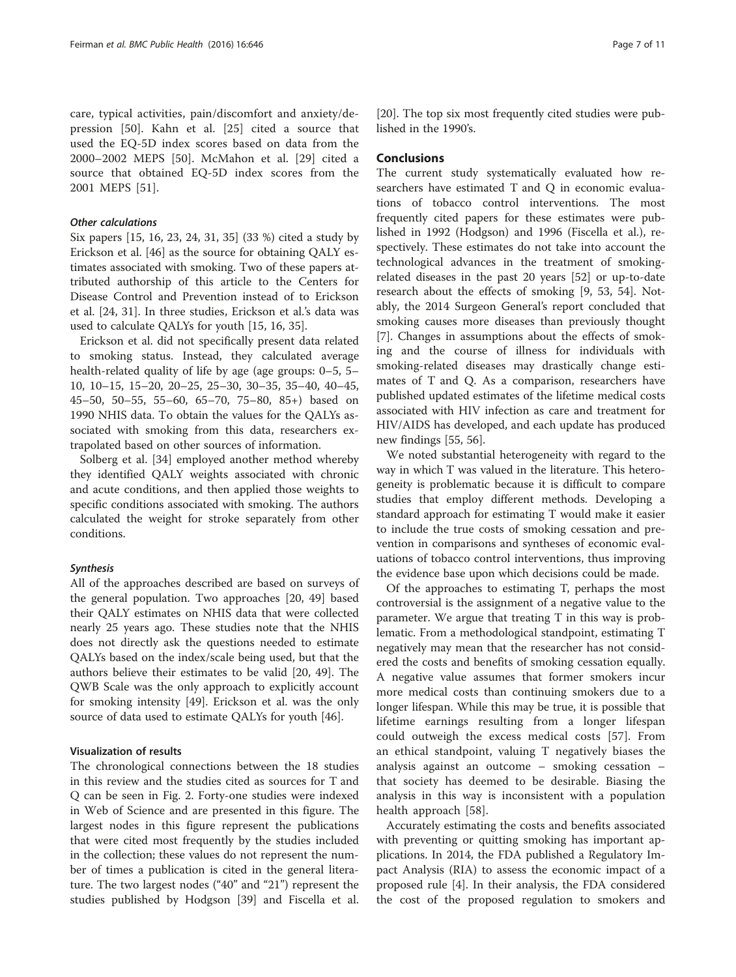care, typical activities, pain/discomfort and anxiety/depression [[50\]](#page-9-0). Kahn et al. [[25\]](#page-9-0) cited a source that used the EQ-5D index scores based on data from the 2000–2002 MEPS [[50\]](#page-9-0). McMahon et al. [\[29](#page-9-0)] cited a source that obtained EQ-5D index scores from the 2001 MEPS [\[51](#page-9-0)].

#### Other calculations

Six papers [\[15, 16, 23, 24](#page-9-0), [31](#page-9-0), [35](#page-9-0)] (33 %) cited a study by Erickson et al. [[46\]](#page-9-0) as the source for obtaining QALY estimates associated with smoking. Two of these papers attributed authorship of this article to the Centers for Disease Control and Prevention instead of to Erickson et al. [\[24](#page-9-0), [31](#page-9-0)]. In three studies, Erickson et al.'s data was used to calculate QALYs for youth [[15, 16, 35](#page-9-0)].

Erickson et al. did not specifically present data related to smoking status. Instead, they calculated average health-related quality of life by age (age groups: 0–5, 5– 10, 10–15, 15–20, 20–25, 25–30, 30–35, 35–40, 40–45, 45–50, 50–55, 55–60, 65–70, 75–80, 85+) based on 1990 NHIS data. To obtain the values for the QALYs associated with smoking from this data, researchers extrapolated based on other sources of information.

Solberg et al. [\[34](#page-9-0)] employed another method whereby they identified QALY weights associated with chronic and acute conditions, and then applied those weights to specific conditions associated with smoking. The authors calculated the weight for stroke separately from other conditions.

#### Synthesis

All of the approaches described are based on surveys of the general population. Two approaches [\[20, 49](#page-9-0)] based their QALY estimates on NHIS data that were collected nearly 25 years ago. These studies note that the NHIS does not directly ask the questions needed to estimate QALYs based on the index/scale being used, but that the authors believe their estimates to be valid [[20](#page-9-0), [49](#page-9-0)]. The QWB Scale was the only approach to explicitly account for smoking intensity [\[49](#page-9-0)]. Erickson et al. was the only source of data used to estimate QALYs for youth [\[46\]](#page-9-0).

#### Visualization of results

The chronological connections between the 18 studies in this review and the studies cited as sources for T and Q can be seen in Fig. [2.](#page-7-0) Forty-one studies were indexed in Web of Science and are presented in this figure. The largest nodes in this figure represent the publications that were cited most frequently by the studies included in the collection; these values do not represent the number of times a publication is cited in the general literature. The two largest nodes ("40" and "21") represent the studies published by Hodgson [\[39\]](#page-9-0) and Fiscella et al.

[[20\]](#page-9-0). The top six most frequently cited studies were published in the 1990's.

#### Conclusions

The current study systematically evaluated how researchers have estimated T and Q in economic evaluations of tobacco control interventions. The most frequently cited papers for these estimates were published in 1992 (Hodgson) and 1996 (Fiscella et al.), respectively. These estimates do not take into account the technological advances in the treatment of smokingrelated diseases in the past 20 years [\[52](#page-9-0)] or up-to-date research about the effects of smoking [\[9](#page-8-0), [53, 54\]](#page-9-0). Notably, the 2014 Surgeon General's report concluded that smoking causes more diseases than previously thought [[7\]](#page-8-0). Changes in assumptions about the effects of smoking and the course of illness for individuals with smoking-related diseases may drastically change estimates of T and Q. As a comparison, researchers have published updated estimates of the lifetime medical costs associated with HIV infection as care and treatment for HIV/AIDS has developed, and each update has produced new findings [[55, 56\]](#page-9-0).

We noted substantial heterogeneity with regard to the way in which T was valued in the literature. This heterogeneity is problematic because it is difficult to compare studies that employ different methods. Developing a standard approach for estimating T would make it easier to include the true costs of smoking cessation and prevention in comparisons and syntheses of economic evaluations of tobacco control interventions, thus improving the evidence base upon which decisions could be made.

Of the approaches to estimating T, perhaps the most controversial is the assignment of a negative value to the parameter. We argue that treating T in this way is problematic. From a methodological standpoint, estimating T negatively may mean that the researcher has not considered the costs and benefits of smoking cessation equally. A negative value assumes that former smokers incur more medical costs than continuing smokers due to a longer lifespan. While this may be true, it is possible that lifetime earnings resulting from a longer lifespan could outweigh the excess medical costs [\[57](#page-9-0)]. From an ethical standpoint, valuing T negatively biases the analysis against an outcome – smoking cessation – that society has deemed to be desirable. Biasing the analysis in this way is inconsistent with a population health approach [[58\]](#page-9-0).

Accurately estimating the costs and benefits associated with preventing or quitting smoking has important applications. In 2014, the FDA published a Regulatory Impact Analysis (RIA) to assess the economic impact of a proposed rule [[4\]](#page-8-0). In their analysis, the FDA considered the cost of the proposed regulation to smokers and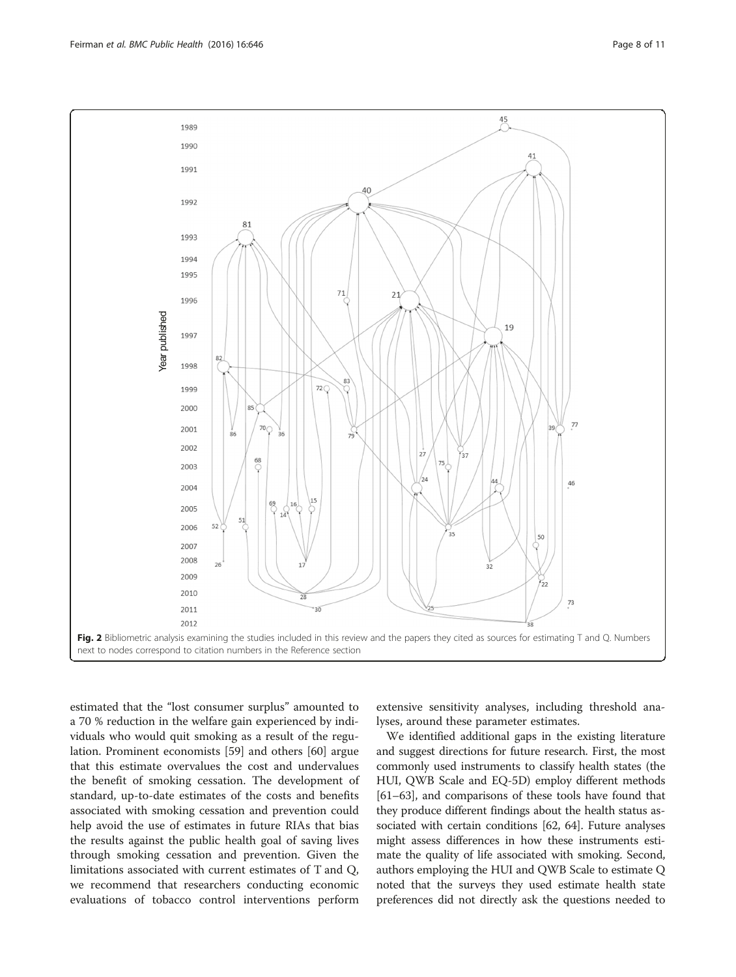estimated that the "lost consumer surplus" amounted to a 70 % reduction in the welfare gain experienced by individuals who would quit smoking as a result of the regulation. Prominent economists [[59\]](#page-9-0) and others [[60\]](#page-10-0) argue that this estimate overvalues the cost and undervalues the benefit of smoking cessation. The development of standard, up-to-date estimates of the costs and benefits associated with smoking cessation and prevention could help avoid the use of estimates in future RIAs that bias the results against the public health goal of saving lives through smoking cessation and prevention. Given the limitations associated with current estimates of T and Q, we recommend that researchers conducting economic evaluations of tobacco control interventions perform

extensive sensitivity analyses, including threshold analyses, around these parameter estimates.

We identified additional gaps in the existing literature and suggest directions for future research. First, the most commonly used instruments to classify health states (the HUI, QWB Scale and EQ-5D) employ different methods [[61](#page-10-0)–[63\]](#page-10-0), and comparisons of these tools have found that they produce different findings about the health status associated with certain conditions [[62, 64\]](#page-10-0). Future analyses might assess differences in how these instruments estimate the quality of life associated with smoking. Second, authors employing the HUI and QWB Scale to estimate Q noted that the surveys they used estimate health state preferences did not directly ask the questions needed to

<span id="page-7-0"></span>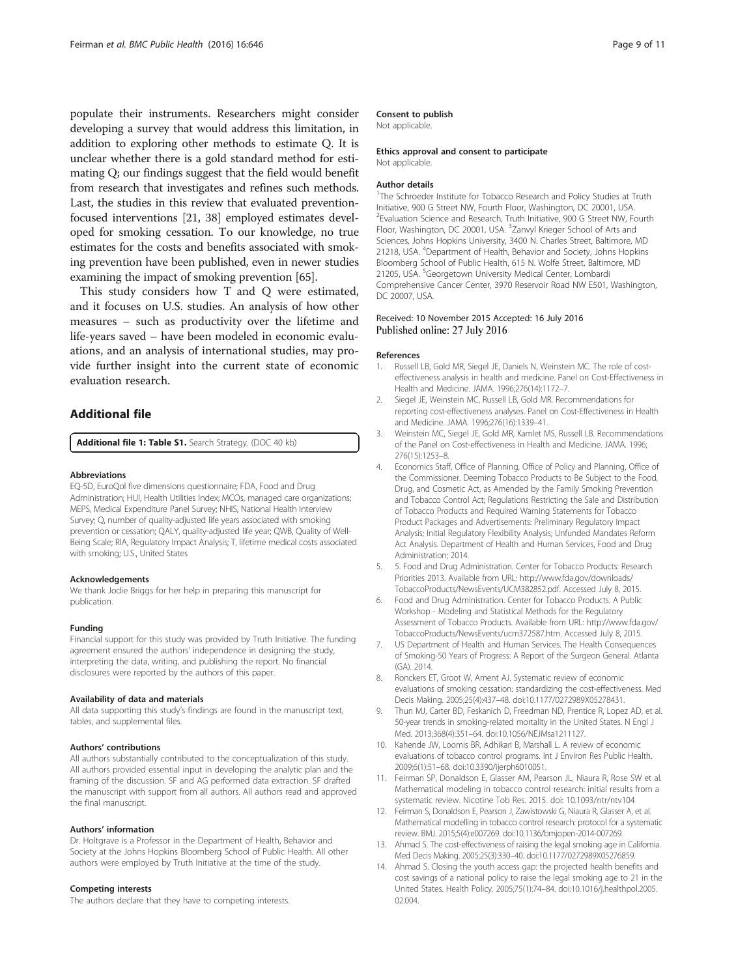<span id="page-8-0"></span>populate their instruments. Researchers might consider developing a survey that would address this limitation, in addition to exploring other methods to estimate Q. It is unclear whether there is a gold standard method for estimating Q; our findings suggest that the field would benefit from research that investigates and refines such methods. Last, the studies in this review that evaluated preventionfocused interventions [[21](#page-9-0), [38\]](#page-9-0) employed estimates developed for smoking cessation. To our knowledge, no true estimates for the costs and benefits associated with smoking prevention have been published, even in newer studies examining the impact of smoking prevention [\[65\]](#page-10-0).

This study considers how T and Q were estimated, and it focuses on U.S. studies. An analysis of how other measures – such as productivity over the lifetime and life-years saved – have been modeled in economic evaluations, and an analysis of international studies, may provide further insight into the current state of economic evaluation research.

## Additional file

[Additional file 1: Table S1.](dx.doi.org/10.1186/s12889-016-3319-z) Search Strategy. (DOC 40 kb)

#### Abbreviations

EQ-5D, EuroQol five dimensions questionnaire; FDA, Food and Drug Administration; HUI, Health Utilities Index; MCOs, managed care organizations; MEPS, Medical Expenditure Panel Survey; NHIS, National Health Interview Survey; Q, number of quality-adjusted life years associated with smoking prevention or cessation; QALY, quality-adjusted life year; QWB, Quality of Well-Being Scale; RIA, Regulatory Impact Analysis; T, lifetime medical costs associated with smoking; U.S., United States

#### Acknowledgements

We thank Jodie Briggs for her help in preparing this manuscript for publication.

#### Funding

Financial support for this study was provided by Truth Initiative. The funding agreement ensured the authors' independence in designing the study, interpreting the data, writing, and publishing the report. No financial disclosures were reported by the authors of this paper.

#### Availability of data and materials

All data supporting this study's findings are found in the manuscript text, tables, and supplemental files.

#### Authors' contributions

All authors substantially contributed to the conceptualization of this study. All authors provided essential input in developing the analytic plan and the framing of the discussion. SF and AG performed data extraction. SF drafted the manuscript with support from all authors. All authors read and approved the final manuscript.

#### Authors' information

Dr. Holtgrave is a Professor in the Department of Health, Behavior and Society at the Johns Hopkins Bloomberg School of Public Health. All other authors were employed by Truth Initiative at the time of the study.

#### Competing interests

The authors declare that they have to competing interests.

#### Consent to publish

Not applicable.

#### Ethics approval and consent to participate

Not applicable.

#### Author details

<sup>1</sup>The Schroeder Institute for Tobacco Research and Policy Studies at Truth Initiative, 900 G Street NW, Fourth Floor, Washington, DC 20001, USA. <sup>2</sup> Evaluation Science and Research, Truth Initiative, 900 G Street NW, Fourth Floor, Washington, DC 20001, USA. <sup>3</sup>Zanvyl Krieger School of Arts and Sciences, Johns Hopkins University, 3400 N. Charles Street, Baltimore, MD 21218, USA. <sup>4</sup>Department of Health, Behavior and Society, Johns Hopkins Bloomberg School of Public Health, 615 N. Wolfe Street, Baltimore, MD 21205, USA. <sup>5</sup>Georgetown University Medical Center, Lombardi Comprehensive Cancer Center, 3970 Reservoir Road NW E501, Washington, DC 20007, USA.

#### Received: 10 November 2015 Accepted: 16 July 2016 Published online: 27 July 2016

#### References

- 1. Russell LB, Gold MR, Siegel JE, Daniels N, Weinstein MC. The role of costeffectiveness analysis in health and medicine. Panel on Cost-Effectiveness in Health and Medicine. JAMA. 1996;276(14):1172–7.
- 2. Siegel JE, Weinstein MC, Russell LB, Gold MR. Recommendations for reporting cost-effectiveness analyses. Panel on Cost-Effectiveness in Health and Medicine. JAMA. 1996;276(16):1339–41.
- 3. Weinstein MC, Siegel JE, Gold MR, Kamlet MS, Russell LB. Recommendations of the Panel on Cost-effectiveness in Health and Medicine. JAMA. 1996; 276(15):1253–8.
- 4. Economics Staff, Office of Planning, Office of Policy and Planning, Office of the Commissioner. Deeming Tobacco Products to Be Subject to the Food, Drug, and Cosmetic Act, as Amended by the Family Smoking Prevention and Tobacco Control Act; Regulations Restricting the Sale and Distribution of Tobacco Products and Required Warning Statements for Tobacco Product Packages and Advertisements: Preliminary Regulatory Impact Analysis; Initial Regulatory Flexibility Analysis; Unfunded Mandates Reform Act Analysis. Department of Health and Human Services, Food and Drug Administration; 2014.
- 5. 5. Food and Drug Administration. Center for Tobacco Products: Research Priorities 2013. Available from URL: [http://www.fda.gov/downloads/](http://www.fda.gov/downloads/TobaccoProducts/NewsEvents/UCM382852.pdf) [TobaccoProducts/NewsEvents/UCM382852.pdf.](http://www.fda.gov/downloads/TobaccoProducts/NewsEvents/UCM382852.pdf) Accessed July 8, 2015.
- 6. Food and Drug Administration. Center for Tobacco Products. A Public Workshop - Modeling and Statistical Methods for the Regulatory Assessment of Tobacco Products. Available from URL: [http://www.fda.gov/](http://www.fda.gov/TobaccoProducts/NewsEvents/ucm372587.htm) [TobaccoProducts/NewsEvents/ucm372587.htm.](http://www.fda.gov/TobaccoProducts/NewsEvents/ucm372587.htm) Accessed July 8, 2015.
- 7. US Department of Health and Human Services. The Health Consequences of Smoking-50 Years of Progress: A Report of the Surgeon General. Atlanta (GA). 2014.
- 8. Ronckers ET, Groot W, Ament AJ. Systematic review of economic evaluations of smoking cessation: standardizing the cost-effectiveness. Med Decis Making. 2005;25(4):437–48. doi[:10.1177/0272989X05278431.](http://dx.doi.org/10.1177/0272989X05278431)
- 9. Thun MJ, Carter BD, Feskanich D, Freedman ND, Prentice R, Lopez AD, et al. 50-year trends in smoking-related mortality in the United States. N Engl J Med. 2013;368(4):351–64. doi[:10.1056/NEJMsa1211127.](http://dx.doi.org/10.1056/NEJMsa1211127)
- 10. Kahende JW, Loomis BR, Adhikari B, Marshall L. A review of economic evaluations of tobacco control programs. Int J Environ Res Public Health. 2009;6(1):51–68. doi[:10.3390/ijerph6010051](http://dx.doi.org/10.3390/ijerph6010051).
- 11. Feirman SP, Donaldson E, Glasser AM, Pearson JL, Niaura R, Rose SW et al. Mathematical modeling in tobacco control research: initial results from a systematic review. Nicotine Tob Res. 2015. doi: 10.1093/ntr/ntv104
- 12. Feirman S, Donaldson E, Pearson J, Zawistowski G, Niaura R, Glasser A, et al. Mathematical modelling in tobacco control research: protocol for a systematic review. BMJ. 2015;5(4):e007269. doi[:10.1136/bmjopen-2014-007269.](http://dx.doi.org/10.1136/bmjopen-2014-007269)
- 13. Ahmad S. The cost-effectiveness of raising the legal smoking age in California. Med Decis Making. 2005;25(3):330–40. doi[:10.1177/0272989X05276859](http://dx.doi.org/10.1177/0272989X05276859).
- 14. Ahmad S. Closing the youth access gap: the projected health benefits and cost savings of a national policy to raise the legal smoking age to 21 in the United States. Health Policy. 2005;75(1):74–84. doi[:10.1016/j.healthpol.2005.](http://dx.doi.org/10.1016/j.healthpol.2005.02.004) [02.004.](http://dx.doi.org/10.1016/j.healthpol.2005.02.004)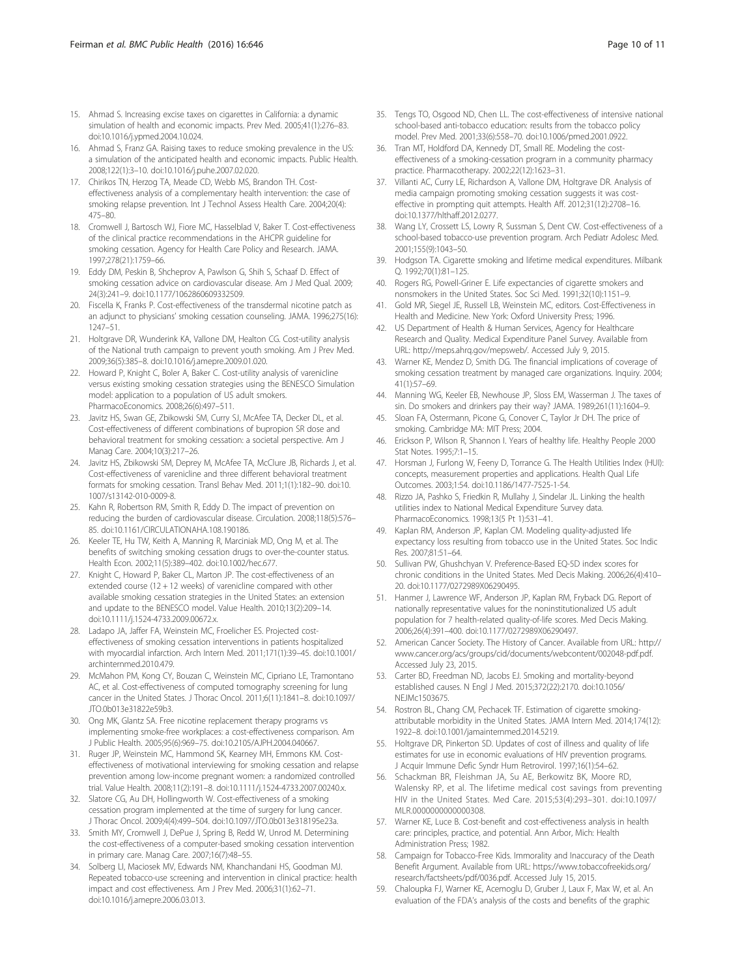- <span id="page-9-0"></span>15. Ahmad S. Increasing excise taxes on cigarettes in California: a dynamic simulation of health and economic impacts. Prev Med. 2005;41(1):276–83. doi[:10.1016/j.ypmed.2004.10.024](http://dx.doi.org/10.1016/j.ypmed.2004.10.024).
- 16. Ahmad S, Franz GA. Raising taxes to reduce smoking prevalence in the US: a simulation of the anticipated health and economic impacts. Public Health. 2008;122(1):3–10. doi[:10.1016/j.puhe.2007.02.020](http://dx.doi.org/10.1016/j.puhe.2007.02.020).
- 17. Chirikos TN, Herzog TA, Meade CD, Webb MS, Brandon TH. Costeffectiveness analysis of a complementary health intervention: the case of smoking relapse prevention. Int J Technol Assess Health Care. 2004;20(4): 475–80.
- 18. Cromwell J, Bartosch WJ, Fiore MC, Hasselblad V, Baker T. Cost-effectiveness of the clinical practice recommendations in the AHCPR guideline for smoking cessation. Agency for Health Care Policy and Research. JAMA. 1997;278(21):1759–66.
- 19. Eddy DM, Peskin B, Shcheprov A, Pawlson G, Shih S, Schaaf D. Effect of smoking cessation advice on cardiovascular disease. Am J Med Qual. 2009; 24(3):241–9. doi:[10.1177/1062860609332509](http://dx.doi.org/10.1177/1062860609332509).
- 20. Fiscella K, Franks P. Cost-effectiveness of the transdermal nicotine patch as an adjunct to physicians' smoking cessation counseling. JAMA. 1996;275(16): 1247–51.
- 21. Holtgrave DR, Wunderink KA, Vallone DM, Healton CG. Cost-utility analysis of the National truth campaign to prevent youth smoking. Am J Prev Med. 2009;36(5):385–8. doi[:10.1016/j.amepre.2009.01.020](http://dx.doi.org/10.1016/j.amepre.2009.01.020).
- 22. Howard P, Knight C, Boler A, Baker C. Cost-utility analysis of varenicline versus existing smoking cessation strategies using the BENESCO Simulation model: application to a population of US adult smokers. PharmacoEconomics. 2008;26(6):497–511.
- 23. Javitz HS, Swan GE, Zbikowski SM, Curry SJ, McAfee TA, Decker DL, et al. Cost-effectiveness of different combinations of bupropion SR dose and behavioral treatment for smoking cessation: a societal perspective. Am J Manag Care. 2004;10(3):217–26.
- 24. Javitz HS, Zbikowski SM, Deprey M, McAfee TA, McClure JB, Richards J, et al. Cost-effectiveness of varenicline and three different behavioral treatment formats for smoking cessation. Transl Behav Med. 2011;1(1):182–90. doi:[10.](http://dx.doi.org/10.1007/s13142-010-0009-8) [1007/s13142-010-0009-8.](http://dx.doi.org/10.1007/s13142-010-0009-8)
- 25. Kahn R, Robertson RM, Smith R, Eddy D. The impact of prevention on reducing the burden of cardiovascular disease. Circulation. 2008;118(5):576– 85. doi[:10.1161/CIRCULATIONAHA.108.190186.](http://dx.doi.org/10.1161/CIRCULATIONAHA.108.190186)
- 26. Keeler TE, Hu TW, Keith A, Manning R, Marciniak MD, Ong M, et al. The benefits of switching smoking cessation drugs to over-the-counter status. Health Econ. 2002;11(5):389–402. doi[:10.1002/hec.677](http://dx.doi.org/10.1002/hec.677).
- 27. Knight C, Howard P, Baker CL, Marton JP. The cost-effectiveness of an extended course (12 + 12 weeks) of varenicline compared with other available smoking cessation strategies in the United States: an extension and update to the BENESCO model. Value Health. 2010;13(2):209–14. doi[:10.1111/j.1524-4733.2009.00672.x](http://dx.doi.org/10.1111/j.1524-4733.2009.00672.x).
- 28. Ladapo JA, Jaffer FA, Weinstein MC, Froelicher ES. Projected costeffectiveness of smoking cessation interventions in patients hospitalized with myocardial infarction. Arch Intern Med. 2011;171(1):39–45. doi[:10.1001/](http://dx.doi.org/10.1001/archinternmed.2010.479) [archinternmed.2010.479.](http://dx.doi.org/10.1001/archinternmed.2010.479)
- 29. McMahon PM, Kong CY, Bouzan C, Weinstein MC, Cipriano LE, Tramontano AC, et al. Cost-effectiveness of computed tomography screening for lung cancer in the United States. J Thorac Oncol. 2011;6(11):1841–8. doi[:10.1097/](http://dx.doi.org/10.1097/JTO.0b013e31822e59b3) [JTO.0b013e31822e59b3.](http://dx.doi.org/10.1097/JTO.0b013e31822e59b3)
- 30. Ong MK, Glantz SA. Free nicotine replacement therapy programs vs implementing smoke-free workplaces: a cost-effectiveness comparison. Am J Public Health. 2005;95(6):969–75. doi:[10.2105/AJPH.2004.040667.](http://dx.doi.org/10.2105/AJPH.2004.040667)
- 31. Ruger JP, Weinstein MC, Hammond SK, Kearney MH, Emmons KM. Costeffectiveness of motivational interviewing for smoking cessation and relapse prevention among low-income pregnant women: a randomized controlled trial. Value Health. 2008;11(2):191–8. doi[:10.1111/j.1524-4733.2007.00240.x.](http://dx.doi.org/10.1111/j.1524-4733.2007.00240.x)
- 32. Slatore CG, Au DH, Hollingworth W. Cost-effectiveness of a smoking cessation program implemented at the time of surgery for lung cancer. J Thorac Oncol. 2009;4(4):499–504. doi[:10.1097/JTO.0b013e318195e23a.](http://dx.doi.org/10.1097/JTO.0b013e318195e23a)
- 33. Smith MY, Cromwell J, DePue J, Spring B, Redd W, Unrod M. Determining the cost-effectiveness of a computer-based smoking cessation intervention in primary care. Manag Care. 2007;16(7):48–55.
- 34. Solberg LI, Maciosek MV, Edwards NM, Khanchandani HS, Goodman MJ. Repeated tobacco-use screening and intervention in clinical practice: health impact and cost effectiveness. Am J Prev Med. 2006;31(1):62–71. doi[:10.1016/j.amepre.2006.03.013.](http://dx.doi.org/10.1016/j.amepre.2006.03.013)
- 35. Tengs TO, Osgood ND, Chen LL. The cost-effectiveness of intensive national school-based anti-tobacco education: results from the tobacco policy model. Prev Med. 2001;33(6):558–70. doi[:10.1006/pmed.2001.0922.](http://dx.doi.org/10.1006/pmed.2001.0922)
- 36. Tran MT, Holdford DA, Kennedy DT, Small RE. Modeling the costeffectiveness of a smoking-cessation program in a community pharmacy practice. Pharmacotherapy. 2002;22(12):1623–31.
- 37. Villanti AC, Curry LE, Richardson A, Vallone DM, Holtgrave DR. Analysis of media campaign promoting smoking cessation suggests it was costeffective in prompting quit attempts. Health Aff. 2012;31(12):2708–16. doi[:10.1377/hlthaff.2012.0277.](http://dx.doi.org/10.1377/hlthaff.2012.0277)
- 38. Wang LY, Crossett LS, Lowry R, Sussman S, Dent CW. Cost-effectiveness of a school-based tobacco-use prevention program. Arch Pediatr Adolesc Med. 2001;155(9):1043–50.
- 39. Hodgson TA. Cigarette smoking and lifetime medical expenditures. Milbank Q. 1992;70(1):81–125.
- 40. Rogers RG, Powell-Griner E. Life expectancies of cigarette smokers and nonsmokers in the United States. Soc Sci Med. 1991;32(10):1151–9.
- 41. Gold MR, Siegel JE, Russell LB, Weinstein MC, editors. Cost-Effectiveness in Health and Medicine. New York: Oxford University Press; 1996.
- 42. US Department of Health & Human Services, Agency for Healthcare Research and Quality. Medical Expenditure Panel Survey. Available from URL: [http://meps.ahrq.gov/mepsweb/.](http://meps.ahrq.gov/mepsweb/) Accessed July 9, 2015.
- 43. Warner KE, Mendez D, Smith DG. The financial implications of coverage of smoking cessation treatment by managed care organizations. Inquiry. 2004; 41(1):57–69.
- 44. Manning WG, Keeler EB, Newhouse JP, Sloss EM, Wasserman J. The taxes of sin. Do smokers and drinkers pay their way? JAMA. 1989;261(11):1604–9.
- 45. Sloan FA, Ostermann, Picone G, Conover C, Taylor Jr DH. The price of smoking. Cambridge MA: MIT Press; 2004.
- 46. Erickson P, Wilson R, Shannon I. Years of healthy life. Healthy People 2000 Stat Notes. 1995;7:1–15.
- 47. Horsman J, Furlong W, Feeny D, Torrance G. The Health Utilities Index (HUI): concepts, measurement properties and applications. Health Qual Life Outcomes. 2003;1:54. doi[:10.1186/1477-7525-1-54](http://dx.doi.org/10.1186/1477-7525-1-54).
- 48. Rizzo JA, Pashko S, Friedkin R, Mullahy J, Sindelar JL. Linking the health utilities index to National Medical Expenditure Survey data. PharmacoEconomics. 1998;13(5 Pt 1):531–41.
- 49. Kaplan RM, Anderson JP, Kaplan CM. Modeling quality-adjusted life expectancy loss resulting from tobacco use in the United States. Soc Indic Res. 2007;81:51–64.
- 50. Sullivan PW, Ghushchyan V. Preference-Based EQ-5D index scores for chronic conditions in the United States. Med Decis Making. 2006;26(4):410– 20. doi[:10.1177/0272989X06290495](http://dx.doi.org/10.1177/0272989X06290495).
- 51. Hanmer J, Lawrence WF, Anderson JP, Kaplan RM, Fryback DG. Report of nationally representative values for the noninstitutionalized US adult population for 7 health-related quality-of-life scores. Med Decis Making. 2006;26(4):391–400. doi[:10.1177/0272989X06290497.](http://dx.doi.org/10.1177/0272989X06290497)
- 52. American Cancer Society. The History of Cancer. Available from URL: [http://](http://www.cancer.org/acs/groups/cid/documents/webcontent/002048-pdf.pdf) [www.cancer.org/acs/groups/cid/documents/webcontent/002048-pdf.pdf](http://www.cancer.org/acs/groups/cid/documents/webcontent/002048-pdf.pdf). Accessed July 23, 2015.
- 53. Carter BD, Freedman ND, Jacobs EJ. Smoking and mortality-beyond established causes. N Engl J Med. 2015;372(22):2170. doi:[10.1056/](http://dx.doi.org/10.1056/NEJMc1503675) [NEJMc1503675](http://dx.doi.org/10.1056/NEJMc1503675).
- 54. Rostron BL, Chang CM, Pechacek TF. Estimation of cigarette smokingattributable morbidity in the United States. JAMA Intern Med. 2014;174(12): 1922–8. doi:[10.1001/jamainternmed.2014.5219](http://dx.doi.org/10.1001/jamainternmed.2014.5219).
- 55. Holtgrave DR, Pinkerton SD. Updates of cost of illness and quality of life estimates for use in economic evaluations of HIV prevention programs. J Acquir Immune Defic Syndr Hum Retrovirol. 1997;16(1):54–62.
- 56. Schackman BR, Fleishman JA, Su AE, Berkowitz BK, Moore RD, Walensky RP, et al. The lifetime medical cost savings from preventing HIV in the United States. Med Care. 2015;53(4):293–301. doi:[10.1097/](http://dx.doi.org/10.1097/MLR.0000000000000308) [MLR.0000000000000308.](http://dx.doi.org/10.1097/MLR.0000000000000308)
- 57. Warner KE, Luce B. Cost-benefit and cost-effectiveness analysis in health care: principles, practice, and potential. Ann Arbor, Mich: Health Administration Press; 1982.
- 58. Campaign for Tobacco-Free Kids. Immorality and Inaccuracy of the Death Benefit Argument. Available from URL: [https://www.tobaccofreekids.org/](https://www.tobaccofreekids.org/research/factsheets/pdf/0036.pdf) [research/factsheets/pdf/0036.pdf.](https://www.tobaccofreekids.org/research/factsheets/pdf/0036.pdf) Accessed July 15, 2015.
- 59. Chaloupka FJ, Warner KE, Acemoglu D, Gruber J, Laux F, Max W, et al. An evaluation of the FDA's analysis of the costs and benefits of the graphic